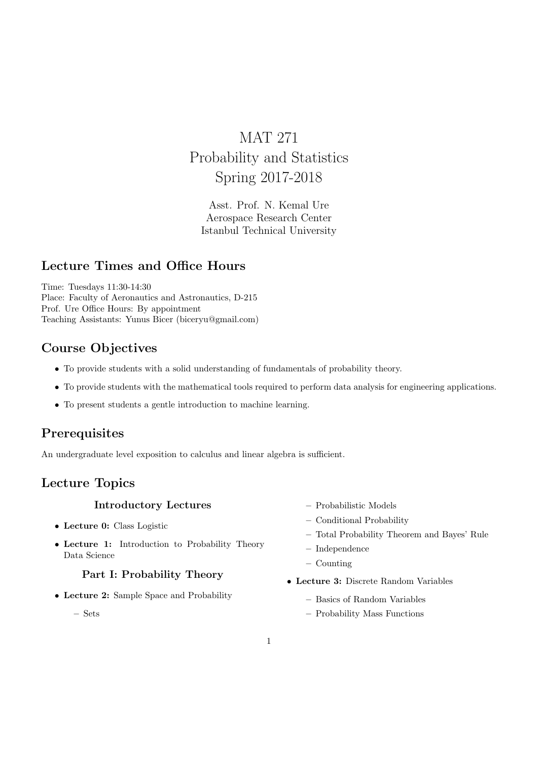# MAT 271 Probability and Statistics Spring 2017-2018

Asst. Prof. N. Kemal Ure Aerospace Research Center Istanbul Technical University

### Lecture Times and Office Hours

Time: Tuesdays 11:30-14:30 Place: Faculty of Aeronautics and Astronautics, D-215 Prof. Ure Office Hours: By appointment Teaching Assistants: Yunus Bicer (biceryu@gmail.com)

# Course Objectives

- To provide students with a solid understanding of fundamentals of probability theory.
- To provide students with the mathematical tools required to perform data analysis for engineering applications.
- To present students a gentle introduction to machine learning.

### Prerequisites

An undergraduate level exposition to calculus and linear algebra is sufficient.

### Lecture Topics

#### Introductory Lectures

- Lecture 0: Class Logistic
- Lecture 1: Introduction to Probability Theory Data Science

#### Part I: Probability Theory

• Lecture 2: Sample Space and Probability

– Sets

- Probabilistic Models
- Conditional Probability
- Total Probability Theorem and Bayes' Rule
- Independence
- Counting
- Lecture 3: Discrete Random Variables
	- Basics of Random Variables
	- Probability Mass Functions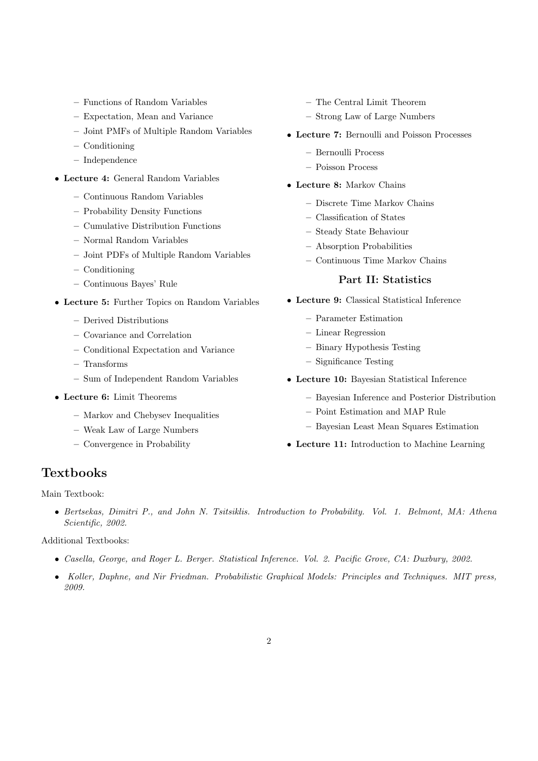- Functions of Random Variables
- Expectation, Mean and Variance
- Joint PMFs of Multiple Random Variables
- Conditioning
- Independence
- Lecture 4: General Random Variables
	- Continuous Random Variables
	- Probability Density Functions
	- Cumulative Distribution Functions
	- Normal Random Variables
	- Joint PDFs of Multiple Random Variables
	- Conditioning
	- Continuous Bayes' Rule
- Lecture 5: Further Topics on Random Variables
	- Derived Distributions
	- Covariance and Correlation
	- Conditional Expectation and Variance
	- Transforms
	- Sum of Independent Random Variables
- Lecture 6: Limit Theorems
	- Markov and Chebysev Inequalities
	- Weak Law of Large Numbers
	- Convergence in Probability
- The Central Limit Theorem
- Strong Law of Large Numbers
- Lecture 7: Bernoulli and Poisson Processes
	- Bernoulli Process
	- Poisson Process
- Lecture 8: Markov Chains
	- Discrete Time Markov Chains
	- Classification of States
	- Steady State Behaviour
	- Absorption Probabilities
	- Continuous Time Markov Chains

#### Part II: Statistics

- Lecture 9: Classical Statistical Inference
	- Parameter Estimation
	- Linear Regression
	- Binary Hypothesis Testing
	- Significance Testing
- Lecture 10: Bayesian Statistical Inference
	- Bayesian Inference and Posterior Distribution
	- Point Estimation and MAP Rule
	- Bayesian Least Mean Squares Estimation
- Lecture 11: Introduction to Machine Learning

#### Textbooks

Main Textbook:

• Bertsekas, Dimitri P., and John N. Tsitsiklis. Introduction to Probability. Vol. 1. Belmont, MA: Athena Scientific, 2002.

Additional Textbooks:

- Casella, George, and Roger L. Berger. Statistical Inference. Vol. 2. Pacific Grove, CA: Duxbury, 2002.
- Koller, Daphne, and Nir Friedman. Probabilistic Graphical Models: Principles and Techniques. MIT press, 2009.